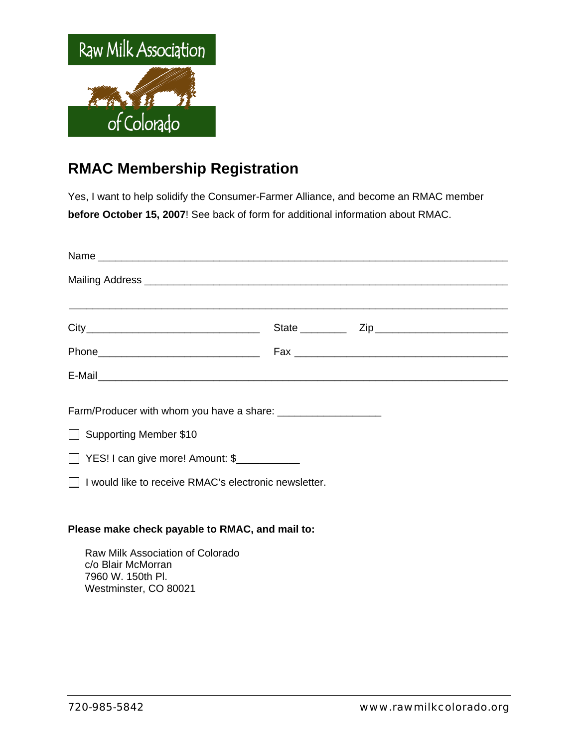

## **RMAC Membership Registration**

Yes, I want to help solidify the Consumer-Farmer Alliance, and become an RMAC member **before October 15, 2007**! See back of form for additional information about RMAC.

| Mailing Address <b>contract to the contract of the contract of the contract of the contract of the contract of the contract of the contract of the contract of the contract of the contract of the contract of the contract of t</b> |  |  |
|--------------------------------------------------------------------------------------------------------------------------------------------------------------------------------------------------------------------------------------|--|--|
|                                                                                                                                                                                                                                      |  |  |
|                                                                                                                                                                                                                                      |  |  |
|                                                                                                                                                                                                                                      |  |  |
| Supporting Member \$10<br>YES! I can give more! Amount: \$                                                                                                                                                                           |  |  |
| $\Box$ I would like to receive RMAC's electronic newsletter.                                                                                                                                                                         |  |  |
| Please make check payable to RMAC, and mail to:                                                                                                                                                                                      |  |  |
| Raw Milk Association of Colorado<br>c/o Blair McMorran                                                                                                                                                                               |  |  |

c/o Blair McMorran 7960 W. 150th Pl. Westminster, CO 80021